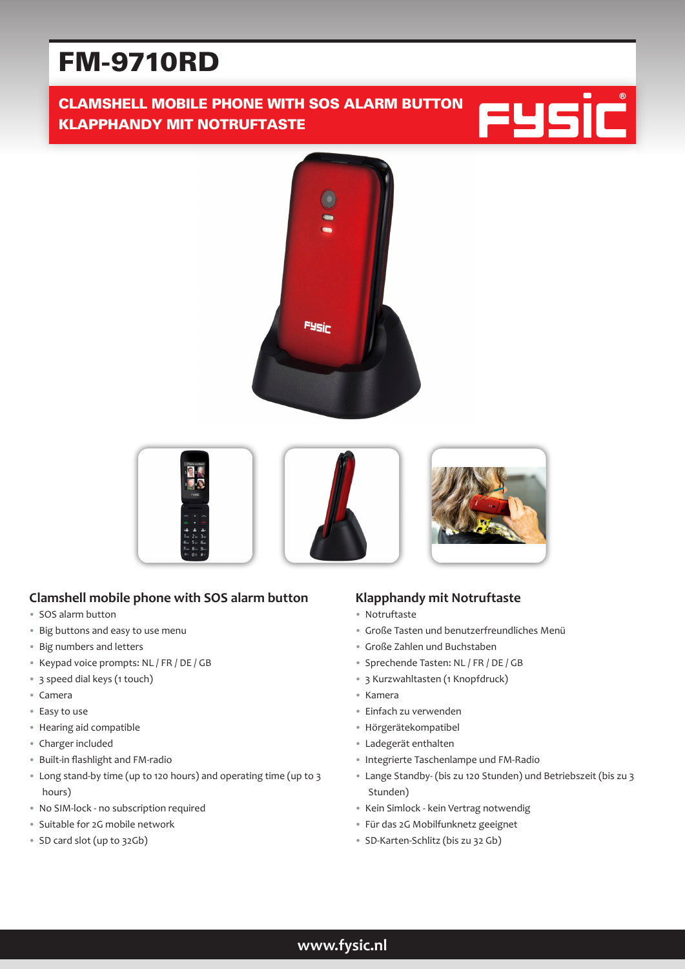# FM-9710RD

# CLAMSHELL MOBILE PHONE WITH SOS ALARM BUTTON KLAPPHANDY MIT NOTRUFTASTE







## **Clamshell mobile phone with SOS alarm button**

- SOS alarm button
- Big buttons and easy to use menu
- Big numbers and letters
- Keypad voice prompts: NL / FR / DE / GB
- 3 speed dial keys (1 touch)
- Camera
- Easy to use
- Hearing aid compatible
- Charger included
- Built-in flashlight and FM-radio
- Long stand-by time (up to 120 hours) and operating time (up to 3 hours)
- No SIM-lock no subscription required
- Suitable for 2G mobile network
- SD card slot (up to 32Gb)

## **Klapphandy mit Notruftaste**

- Notruftaste
- Große Tasten und benutzerfreundliches Menü
- Große Zahlen und Buchstaben
- Sprechende Tasten: NL / FR / DE / GB
- 3 Kurzwahltasten (1 Knopfdruck)
- Kamera
- Einfach zu verwenden
- Hörgerätekompatibel
- Ladegerät enthalten
- Integrierte Taschenlampe und FM-Radio
- Lange Standby- (bis zu 120 Stunden) und Betriebszeit (bis zu 3 Stunden)
- Kein Simlock kein Vertrag notwendig
- Für das 2G Mobilfunknetz geeignet
- SD-Karten-Schlitz (bis zu 32 Gb)

**www.fysic.nl**